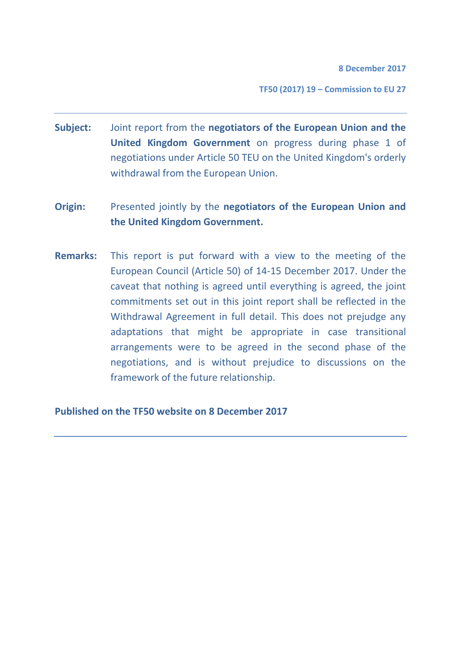**8 December 2017**

**TF50 (2017) 19 – Commission to EU 27**

- **Subject:** Joint report from the **negotiators of the European Union and the United Kingdom Government** on progress during phase 1 of negotiations under Article 50 TEU on the United Kingdom's orderly withdrawal from the European Union.
- **Origin:** Presented jointly by the **negotiators of the European Union and the United Kingdom Government.**
- **Remarks:** This report is put forward with a view to the meeting of the European Council (Article 50) of 14-15 December 2017. Under the caveat that nothing is agreed until everything is agreed, the joint commitments set out in this joint report shall be reflected in the Withdrawal Agreement in full detail. This does not prejudge any adaptations that might be appropriate in case transitional arrangements were to be agreed in the second phase of the negotiations, and is without prejudice to discussions on the framework of the future relationship.

## **Published on the TF50 website on 8 December 2017**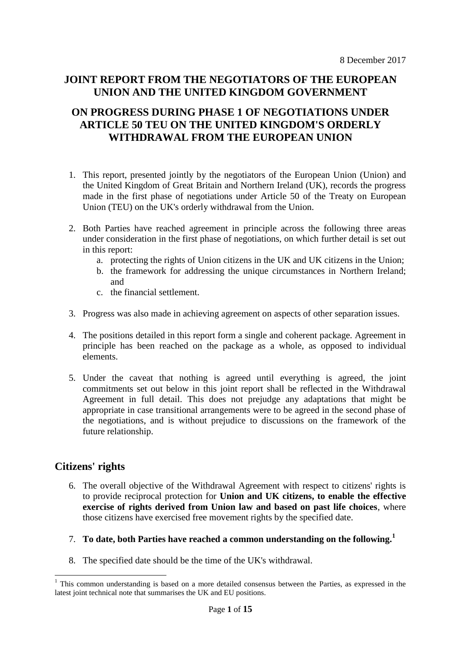# **JOINT REPORT FROM THE NEGOTIATORS OF THE EUROPEAN UNION AND THE UNITED KINGDOM GOVERNMENT**

# **ON PROGRESS DURING PHASE 1 OF NEGOTIATIONS UNDER ARTICLE 50 TEU ON THE UNITED KINGDOM'S ORDERLY WITHDRAWAL FROM THE EUROPEAN UNION**

- 1. This report, presented jointly by the negotiators of the European Union (Union) and the United Kingdom of Great Britain and Northern Ireland (UK), records the progress made in the first phase of negotiations under Article 50 of the Treaty on European Union (TEU) on the UK's orderly withdrawal from the Union.
- 2. Both Parties have reached agreement in principle across the following three areas under consideration in the first phase of negotiations, on which further detail is set out in this report:
	- a. protecting the rights of Union citizens in the UK and UK citizens in the Union;
	- b. the framework for addressing the unique circumstances in Northern Ireland; and
	- c. the financial settlement.
- 3. Progress was also made in achieving agreement on aspects of other separation issues.
- 4. The positions detailed in this report form a single and coherent package. Agreement in principle has been reached on the package as a whole, as opposed to individual elements.
- 5. Under the caveat that nothing is agreed until everything is agreed, the joint commitments set out below in this joint report shall be reflected in the Withdrawal Agreement in full detail. This does not prejudge any adaptations that might be appropriate in case transitional arrangements were to be agreed in the second phase of the negotiations, and is without prejudice to discussions on the framework of the future relationship.

## **Citizens' rights**

- 6. The overall objective of the Withdrawal Agreement with respect to citizens' rights is to provide reciprocal protection for **Union and UK citizens, to enable the effective exercise of rights derived from Union law and based on past life choices**, where those citizens have exercised free movement rights by the specified date.
- 7. **To date, both Parties have reached a common understanding on the following.<sup>1</sup>**
- 8. The specified date should be the time of the UK's withdrawal.

**<sup>.</sup>** <sup>1</sup> This common understanding is based on a more detailed consensus between the Parties, as expressed in the latest joint technical note that summarises the UK and EU positions.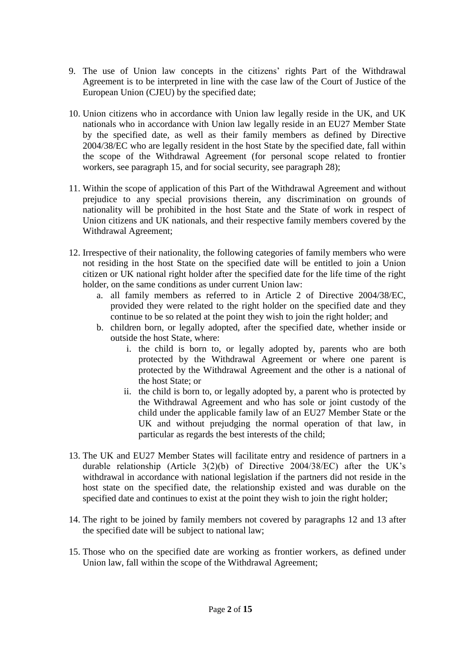- 9. The use of Union law concepts in the citizens' rights Part of the Withdrawal Agreement is to be interpreted in line with the case law of the Court of Justice of the European Union (CJEU) by the specified date;
- 10. Union citizens who in accordance with Union law legally reside in the UK, and UK nationals who in accordance with Union law legally reside in an EU27 Member State by the specified date, as well as their family members as defined by Directive 2004/38/EC who are legally resident in the host State by the specified date, fall within the scope of the Withdrawal Agreement (for personal scope related to frontier workers, see paragraph 15, and for social security, see paragraph 28);
- 11. Within the scope of application of this Part of the Withdrawal Agreement and without prejudice to any special provisions therein, any discrimination on grounds of nationality will be prohibited in the host State and the State of work in respect of Union citizens and UK nationals, and their respective family members covered by the Withdrawal Agreement;
- 12. Irrespective of their nationality, the following categories of family members who were not residing in the host State on the specified date will be entitled to join a Union citizen or UK national right holder after the specified date for the life time of the right holder, on the same conditions as under current Union law:
	- a. all family members as referred to in Article 2 of Directive 2004/38/EC, provided they were related to the right holder on the specified date and they continue to be so related at the point they wish to join the right holder; and
	- b. children born, or legally adopted, after the specified date, whether inside or outside the host State, where:
		- i. the child is born to, or legally adopted by, parents who are both protected by the Withdrawal Agreement or where one parent is protected by the Withdrawal Agreement and the other is a national of the host State; or
		- ii. the child is born to, or legally adopted by, a parent who is protected by the Withdrawal Agreement and who has sole or joint custody of the child under the applicable family law of an EU27 Member State or the UK and without prejudging the normal operation of that law, in particular as regards the best interests of the child;
- 13. The UK and EU27 Member States will facilitate entry and residence of partners in a durable relationship (Article 3(2)(b) of Directive 2004/38/EC) after the UK's withdrawal in accordance with national legislation if the partners did not reside in the host state on the specified date, the relationship existed and was durable on the specified date and continues to exist at the point they wish to join the right holder;
- 14. The right to be joined by family members not covered by paragraphs 12 and 13 after the specified date will be subject to national law;
- 15. Those who on the specified date are working as frontier workers, as defined under Union law, fall within the scope of the Withdrawal Agreement;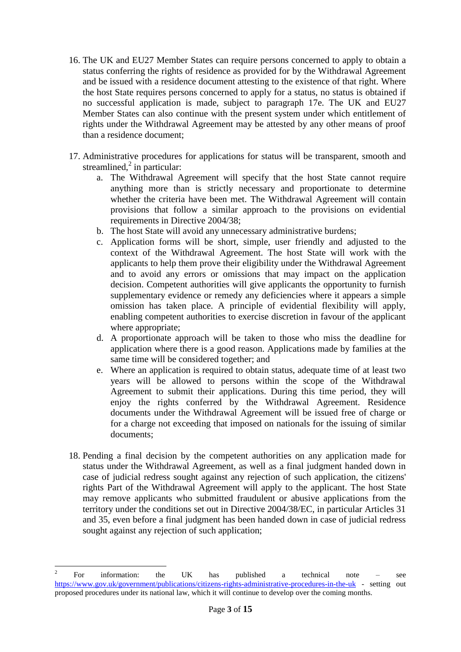- 16. The UK and EU27 Member States can require persons concerned to apply to obtain a status conferring the rights of residence as provided for by the Withdrawal Agreement and be issued with a residence document attesting to the existence of that right. Where the host State requires persons concerned to apply for a status, no status is obtained if no successful application is made, subject to paragraph 17e. The UK and EU27 Member States can also continue with the present system under which entitlement of rights under the Withdrawal Agreement may be attested by any other means of proof than a residence document;
- 17. Administrative procedures for applications for status will be transparent, smooth and streamlined, $\frac{2}{\pi}$  in particular:
	- a. The Withdrawal Agreement will specify that the host State cannot require anything more than is strictly necessary and proportionate to determine whether the criteria have been met. The Withdrawal Agreement will contain provisions that follow a similar approach to the provisions on evidential requirements in Directive 2004/38;
	- b. The host State will avoid any unnecessary administrative burdens;
	- c. Application forms will be short, simple, user friendly and adjusted to the context of the Withdrawal Agreement. The host State will work with the applicants to help them prove their eligibility under the Withdrawal Agreement and to avoid any errors or omissions that may impact on the application decision. Competent authorities will give applicants the opportunity to furnish supplementary evidence or remedy any deficiencies where it appears a simple omission has taken place. A principle of evidential flexibility will apply, enabling competent authorities to exercise discretion in favour of the applicant where appropriate;
	- d. A proportionate approach will be taken to those who miss the deadline for application where there is a good reason. Applications made by families at the same time will be considered together; and
	- e. Where an application is required to obtain status, adequate time of at least two years will be allowed to persons within the scope of the Withdrawal Agreement to submit their applications. During this time period, they will enjoy the rights conferred by the Withdrawal Agreement. Residence documents under the Withdrawal Agreement will be issued free of charge or for a charge not exceeding that imposed on nationals for the issuing of similar documents;
- 18. Pending a final decision by the competent authorities on any application made for status under the Withdrawal Agreement, as well as a final judgment handed down in case of judicial redress sought against any rejection of such application, the citizens' rights Part of the Withdrawal Agreement will apply to the applicant. The host State may remove applicants who submitted fraudulent or abusive applications from the territory under the conditions set out in Directive 2004/38/EC, in particular Articles 31 and 35, even before a final judgment has been handed down in case of judicial redress sought against any rejection of such application;

 $\frac{1}{2}$ For information: the UK has published a technical note – see <https://www.gov.uk/government/publications/citizens-rights-administrative-procedures-in-the-uk> - setting out proposed procedures under its national law, which it will continue to develop over the coming months.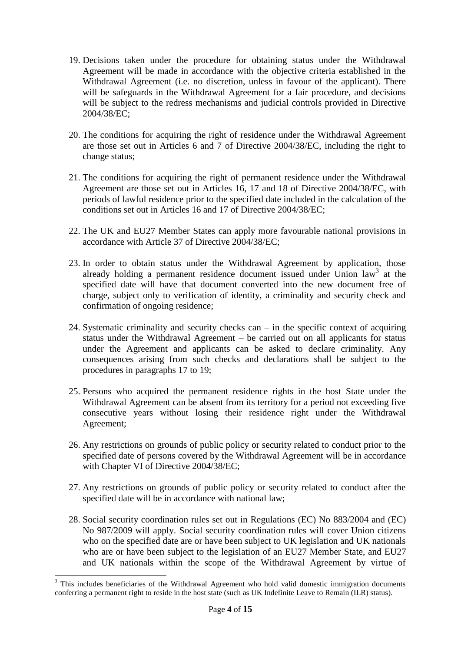- 19. Decisions taken under the procedure for obtaining status under the Withdrawal Agreement will be made in accordance with the objective criteria established in the Withdrawal Agreement (i.e. no discretion, unless in favour of the applicant). There will be safeguards in the Withdrawal Agreement for a fair procedure, and decisions will be subject to the redress mechanisms and judicial controls provided in Directive 2004/38/EC;
- 20. The conditions for acquiring the right of residence under the Withdrawal Agreement are those set out in Articles 6 and 7 of Directive 2004/38/EC, including the right to change status;
- 21. The conditions for acquiring the right of permanent residence under the Withdrawal Agreement are those set out in Articles 16, 17 and 18 of Directive 2004/38/EC, with periods of lawful residence prior to the specified date included in the calculation of the conditions set out in Articles 16 and 17 of Directive 2004/38/EC;
- 22. The UK and EU27 Member States can apply more favourable national provisions in accordance with Article 37 of Directive 2004/38/EC;
- 23. In order to obtain status under the Withdrawal Agreement by application, those already holding a permanent residence document issued under Union  $law<sup>3</sup>$  at the specified date will have that document converted into the new document free of charge, subject only to verification of identity, a criminality and security check and confirmation of ongoing residence;
- 24. Systematic criminality and security checks can in the specific context of acquiring status under the Withdrawal Agreement – be carried out on all applicants for status under the Agreement and applicants can be asked to declare criminality. Any consequences arising from such checks and declarations shall be subject to the procedures in paragraphs 17 to 19;
- 25. Persons who acquired the permanent residence rights in the host State under the Withdrawal Agreement can be absent from its territory for a period not exceeding five consecutive years without losing their residence right under the Withdrawal Agreement;
- 26. Any restrictions on grounds of public policy or security related to conduct prior to the specified date of persons covered by the Withdrawal Agreement will be in accordance with Chapter VI of Directive 2004/38/EC;
- 27. Any restrictions on grounds of public policy or security related to conduct after the specified date will be in accordance with national law;
- 28. Social security coordination rules set out in Regulations (EC) No 883/2004 and (EC) No 987/2009 will apply. Social security coordination rules will cover Union citizens who on the specified date are or have been subject to UK legislation and UK nationals who are or have been subject to the legislation of an EU27 Member State, and EU27 and UK nationals within the scope of the Withdrawal Agreement by virtue of

**.** 

This includes beneficiaries of the Withdrawal Agreement who hold valid domestic immigration documents conferring a permanent right to reside in the host state (such as UK Indefinite Leave to Remain (ILR) status).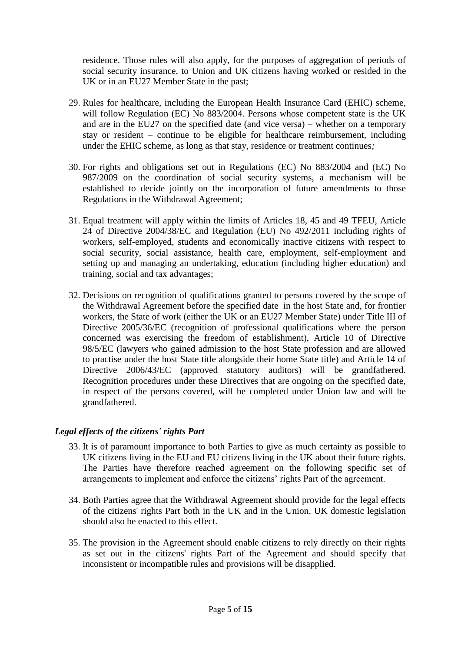residence. Those rules will also apply, for the purposes of aggregation of periods of social security insurance, to Union and UK citizens having worked or resided in the UK or in an EU27 Member State in the past;

- 29. Rules for healthcare, including the European Health Insurance Card (EHIC) scheme, will follow Regulation (EC) No 883/2004. Persons whose competent state is the UK and are in the EU27 on the specified date (and vice versa) – whether on a temporary stay or resident – continue to be eligible for healthcare reimbursement, including under the EHIC scheme, as long as that stay, residence or treatment continues*;*
- 30. For rights and obligations set out in Regulations (EC) No 883/2004 and (EC) No 987/2009 on the coordination of social security systems, a mechanism will be established to decide jointly on the incorporation of future amendments to those Regulations in the Withdrawal Agreement;
- 31. Equal treatment will apply within the limits of Articles 18, 45 and 49 TFEU, Article 24 of Directive 2004/38/EC and Regulation (EU) No 492/2011 including rights of workers, self-employed, students and economically inactive citizens with respect to social security, social assistance, health care, employment, self-employment and setting up and managing an undertaking, education (including higher education) and training, social and tax advantages;
- 32. Decisions on recognition of qualifications granted to persons covered by the scope of the Withdrawal Agreement before the specified date in the host State and, for frontier workers, the State of work (either the UK or an EU27 Member State) under Title III of Directive 2005/36/EC (recognition of professional qualifications where the person concerned was exercising the freedom of establishment), Article 10 of Directive 98/5/EC (lawyers who gained admission to the host State profession and are allowed to practise under the host State title alongside their home State title) and Article 14 of Directive 2006/43/EC (approved statutory auditors) will be grandfathered. Recognition procedures under these Directives that are ongoing on the specified date, in respect of the persons covered, will be completed under Union law and will be grandfathered.

## *Legal effects of the citizens' rights Part*

- 33. It is of paramount importance to both Parties to give as much certainty as possible to UK citizens living in the EU and EU citizens living in the UK about their future rights. The Parties have therefore reached agreement on the following specific set of arrangements to implement and enforce the citizens' rights Part of the agreement.
- 34. Both Parties agree that the Withdrawal Agreement should provide for the legal effects of the citizens' rights Part both in the UK and in the Union. UK domestic legislation should also be enacted to this effect.
- 35. The provision in the Agreement should enable citizens to rely directly on their rights as set out in the citizens' rights Part of the Agreement and should specify that inconsistent or incompatible rules and provisions will be disapplied.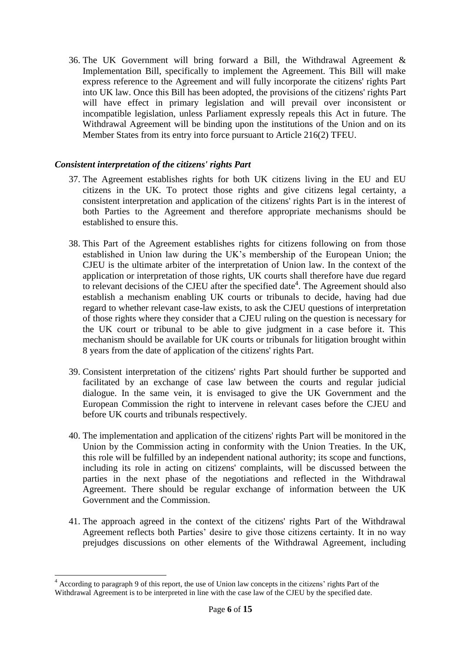36. The UK Government will bring forward a Bill, the Withdrawal Agreement & Implementation Bill, specifically to implement the Agreement. This Bill will make express reference to the Agreement and will fully incorporate the citizens' rights Part into UK law. Once this Bill has been adopted, the provisions of the citizens' rights Part will have effect in primary legislation and will prevail over inconsistent or incompatible legislation, unless Parliament expressly repeals this Act in future. The Withdrawal Agreement will be binding upon the institutions of the Union and on its Member States from its entry into force pursuant to Article 216(2) TFEU.

## *Consistent interpretation of the citizens' rights Part*

- 37. The Agreement establishes rights for both UK citizens living in the EU and EU citizens in the UK. To protect those rights and give citizens legal certainty, a consistent interpretation and application of the citizens' rights Part is in the interest of both Parties to the Agreement and therefore appropriate mechanisms should be established to ensure this.
- 38. This Part of the Agreement establishes rights for citizens following on from those established in Union law during the UK's membership of the European Union; the CJEU is the ultimate arbiter of the interpretation of Union law. In the context of the application or interpretation of those rights, UK courts shall therefore have due regard to relevant decisions of the CJEU after the specified date<sup>4</sup>. The Agreement should also establish a mechanism enabling UK courts or tribunals to decide, having had due regard to whether relevant case-law exists, to ask the CJEU questions of interpretation of those rights where they consider that a CJEU ruling on the question is necessary for the UK court or tribunal to be able to give judgment in a case before it. This mechanism should be available for UK courts or tribunals for litigation brought within 8 years from the date of application of the citizens' rights Part.
- 39. Consistent interpretation of the citizens' rights Part should further be supported and facilitated by an exchange of case law between the courts and regular judicial dialogue. In the same vein, it is envisaged to give the UK Government and the European Commission the right to intervene in relevant cases before the CJEU and before UK courts and tribunals respectively.
- 40. The implementation and application of the citizens' rights Part will be monitored in the Union by the Commission acting in conformity with the Union Treaties. In the UK, this role will be fulfilled by an independent national authority; its scope and functions, including its role in acting on citizens' complaints, will be discussed between the parties in the next phase of the negotiations and reflected in the Withdrawal Agreement. There should be regular exchange of information between the UK Government and the Commission.
- 41. The approach agreed in the context of the citizens' rights Part of the Withdrawal Agreement reflects both Parties' desire to give those citizens certainty. It in no way prejudges discussions on other elements of the Withdrawal Agreement, including

**<sup>.</sup>** <sup>4</sup> According to paragraph 9 of this report, the use of Union law concepts in the citizens' rights Part of the Withdrawal Agreement is to be interpreted in line with the case law of the CJEU by the specified date.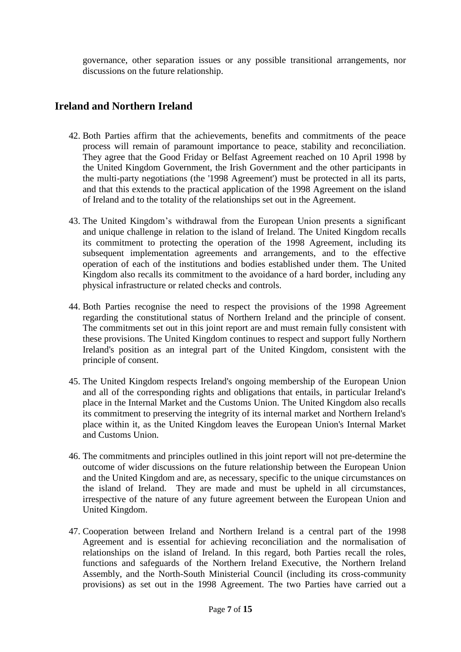governance, other separation issues or any possible transitional arrangements, nor discussions on the future relationship.

## **Ireland and Northern Ireland**

- 42. Both Parties affirm that the achievements, benefits and commitments of the peace process will remain of paramount importance to peace, stability and reconciliation. They agree that the Good Friday or Belfast Agreement reached on 10 April 1998 by the United Kingdom Government, the Irish Government and the other participants in the multi-party negotiations (the '1998 Agreement') must be protected in all its parts, and that this extends to the practical application of the 1998 Agreement on the island of Ireland and to the totality of the relationships set out in the Agreement.
- 43. The United Kingdom's withdrawal from the European Union presents a significant and unique challenge in relation to the island of Ireland. The United Kingdom recalls its commitment to protecting the operation of the 1998 Agreement, including its subsequent implementation agreements and arrangements, and to the effective operation of each of the institutions and bodies established under them. The United Kingdom also recalls its commitment to the avoidance of a hard border, including any physical infrastructure or related checks and controls.
- 44. Both Parties recognise the need to respect the provisions of the 1998 Agreement regarding the constitutional status of Northern Ireland and the principle of consent. The commitments set out in this joint report are and must remain fully consistent with these provisions. The United Kingdom continues to respect and support fully Northern Ireland's position as an integral part of the United Kingdom, consistent with the principle of consent.
- 45. The United Kingdom respects Ireland's ongoing membership of the European Union and all of the corresponding rights and obligations that entails, in particular Ireland's place in the Internal Market and the Customs Union. The United Kingdom also recalls its commitment to preserving the integrity of its internal market and Northern Ireland's place within it, as the United Kingdom leaves the European Union's Internal Market and Customs Union.
- 46. The commitments and principles outlined in this joint report will not pre-determine the outcome of wider discussions on the future relationship between the European Union and the United Kingdom and are, as necessary, specific to the unique circumstances on the island of Ireland. They are made and must be upheld in all circumstances, irrespective of the nature of any future agreement between the European Union and United Kingdom.
- 47. Cooperation between Ireland and Northern Ireland is a central part of the 1998 Agreement and is essential for achieving reconciliation and the normalisation of relationships on the island of Ireland. In this regard, both Parties recall the roles, functions and safeguards of the Northern Ireland Executive, the Northern Ireland Assembly, and the North-South Ministerial Council (including its cross-community provisions) as set out in the 1998 Agreement. The two Parties have carried out a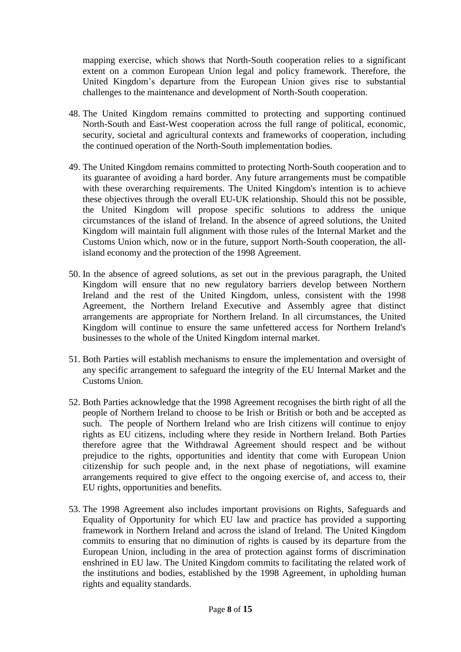mapping exercise, which shows that North-South cooperation relies to a significant extent on a common European Union legal and policy framework. Therefore, the United Kingdom's departure from the European Union gives rise to substantial challenges to the maintenance and development of North-South cooperation.

- 48. The United Kingdom remains committed to protecting and supporting continued North-South and East-West cooperation across the full range of political, economic, security, societal and agricultural contexts and frameworks of cooperation, including the continued operation of the North-South implementation bodies.
- 49. The United Kingdom remains committed to protecting North-South cooperation and to its guarantee of avoiding a hard border. Any future arrangements must be compatible with these overarching requirements. The United Kingdom's intention is to achieve these objectives through the overall EU-UK relationship. Should this not be possible, the United Kingdom will propose specific solutions to address the unique circumstances of the island of Ireland. In the absence of agreed solutions, the United Kingdom will maintain full alignment with those rules of the Internal Market and the Customs Union which, now or in the future, support North-South cooperation, the allisland economy and the protection of the 1998 Agreement.
- 50. In the absence of agreed solutions, as set out in the previous paragraph, the United Kingdom will ensure that no new regulatory barriers develop between Northern Ireland and the rest of the United Kingdom, unless, consistent with the 1998 Agreement, the Northern Ireland Executive and Assembly agree that distinct arrangements are appropriate for Northern Ireland. In all circumstances, the United Kingdom will continue to ensure the same unfettered access for Northern Ireland's businesses to the whole of the United Kingdom internal market.
- 51. Both Parties will establish mechanisms to ensure the implementation and oversight of any specific arrangement to safeguard the integrity of the EU Internal Market and the Customs Union.
- 52. Both Parties acknowledge that the 1998 Agreement recognises the birth right of all the people of Northern Ireland to choose to be Irish or British or both and be accepted as such. The people of Northern Ireland who are Irish citizens will continue to enjoy rights as EU citizens, including where they reside in Northern Ireland. Both Parties therefore agree that the Withdrawal Agreement should respect and be without prejudice to the rights, opportunities and identity that come with European Union citizenship for such people and, in the next phase of negotiations, will examine arrangements required to give effect to the ongoing exercise of, and access to, their EU rights, opportunities and benefits.
- 53. The 1998 Agreement also includes important provisions on Rights, Safeguards and Equality of Opportunity for which EU law and practice has provided a supporting framework in Northern Ireland and across the island of Ireland. The United Kingdom commits to ensuring that no diminution of rights is caused by its departure from the European Union, including in the area of protection against forms of discrimination enshrined in EU law. The United Kingdom commits to facilitating the related work of the institutions and bodies, established by the 1998 Agreement, in upholding human rights and equality standards.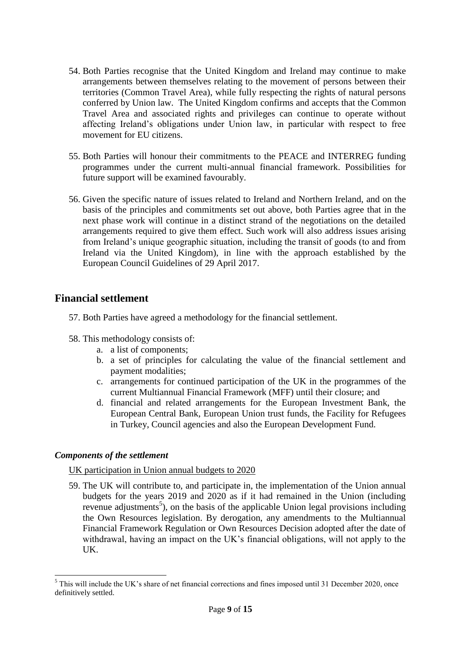- 54. Both Parties recognise that the United Kingdom and Ireland may continue to make arrangements between themselves relating to the movement of persons between their territories (Common Travel Area), while fully respecting the rights of natural persons conferred by Union law. The United Kingdom confirms and accepts that the Common Travel Area and associated rights and privileges can continue to operate without affecting Ireland's obligations under Union law, in particular with respect to free movement for EU citizens.
- 55. Both Parties will honour their commitments to the PEACE and INTERREG funding programmes under the current multi-annual financial framework. Possibilities for future support will be examined favourably.
- 56. Given the specific nature of issues related to Ireland and Northern Ireland, and on the basis of the principles and commitments set out above, both Parties agree that in the next phase work will continue in a distinct strand of the negotiations on the detailed arrangements required to give them effect. Such work will also address issues arising from Ireland's unique geographic situation, including the transit of goods (to and from Ireland via the United Kingdom), in line with the approach established by the European Council Guidelines of 29 April 2017.

## **Financial settlement**

- 57. Both Parties have agreed a methodology for the financial settlement.
- 58. This methodology consists of:
	- a. a list of components;
	- b. a set of principles for calculating the value of the financial settlement and payment modalities;
	- c. arrangements for continued participation of the UK in the programmes of the current Multiannual Financial Framework (MFF) until their closure; and
	- d. financial and related arrangements for the European Investment Bank, the European Central Bank, European Union trust funds, the Facility for Refugees in Turkey, Council agencies and also the European Development Fund.

## *Components of the settlement*

**.** 

#### UK participation in Union annual budgets to 2020

59. The UK will contribute to, and participate in, the implementation of the Union annual budgets for the years 2019 and 2020 as if it had remained in the Union (including revenue adjustments<sup>5</sup>), on the basis of the applicable Union legal provisions including the Own Resources legislation. By derogation, any amendments to the Multiannual Financial Framework Regulation or Own Resources Decision adopted after the date of withdrawal, having an impact on the UK's financial obligations, will not apply to the UK.

<sup>&</sup>lt;sup>5</sup> This will include the UK's share of net financial corrections and fines imposed until 31 December 2020, once definitively settled.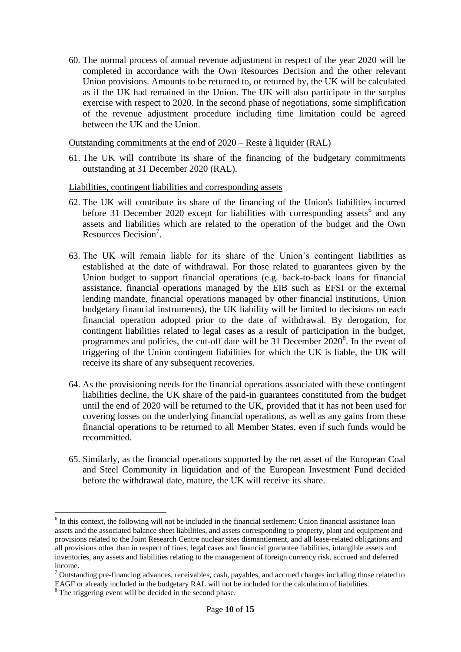60. The normal process of annual revenue adjustment in respect of the year 2020 will be completed in accordance with the Own Resources Decision and the other relevant Union provisions. Amounts to be returned to, or returned by, the UK will be calculated as if the UK had remained in the Union. The UK will also participate in the surplus exercise with respect to 2020. In the second phase of negotiations, some simplification of the revenue adjustment procedure including time limitation could be agreed between the UK and the Union.

Outstanding commitments at the end of 2020 – Reste à liquider (RAL)

61. The UK will contribute its share of the financing of the budgetary commitments outstanding at 31 December 2020 (RAL).

#### Liabilities, contingent liabilities and corresponding assets

- 62. The UK will contribute its share of the financing of the Union's liabilities incurred before 31 December 2020 except for liabilities with corresponding assets<sup>6</sup> and any assets and liabilities which are related to the operation of the budget and the Own Resources Decision<sup>7</sup>.
- 63. The UK will remain liable for its share of the Union's contingent liabilities as established at the date of withdrawal. For those related to guarantees given by the Union budget to support financial operations (e.g. back-to-back loans for financial assistance, financial operations managed by the EIB such as EFSI or the external lending mandate, financial operations managed by other financial institutions, Union budgetary financial instruments), the UK liability will be limited to decisions on each financial operation adopted prior to the date of withdrawal. By derogation, for contingent liabilities related to legal cases as a result of participation in the budget, programmes and policies, the cut-off date will be 31 December  $2020<sup>8</sup>$ . In the event of triggering of the Union contingent liabilities for which the UK is liable, the UK will receive its share of any subsequent recoveries.
- 64. As the provisioning needs for the financial operations associated with these contingent liabilities decline, the UK share of the paid-in guarantees constituted from the budget until the end of 2020 will be returned to the UK, provided that it has not been used for covering losses on the underlying financial operations, as well as any gains from these financial operations to be returned to all Member States, even if such funds would be recommitted.
- 65. Similarly, as the financial operations supported by the net asset of the European Coal and Steel Community in liquidation and of the European Investment Fund decided before the withdrawal date, mature, the UK will receive its share.

1

<sup>&</sup>lt;sup>6</sup> In this context, the following will not be included in the financial settlement: Union financial assistance loan assets and the associated balance sheet liabilities, and assets corresponding to property, plant and equipment and provisions related to the Joint Research Centre nuclear sites dismantlement, and all lease-related obligations and all provisions other than in respect of fines, legal cases and financial guarantee liabilities, intangible assets and inventories, any assets and liabilities relating to the management of foreign currency risk, accrued and deferred income.

 $7$  Outstanding pre-financing advances, receivables, cash, payables, and accrued charges including those related to EAGF or already included in the budgetary RAL will not be included for the calculation of liabilities.

<sup>&</sup>lt;sup>8</sup> The triggering event will be decided in the second phase.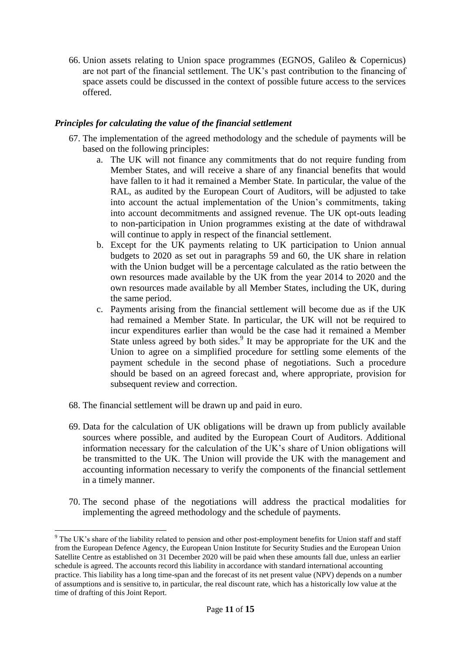66. Union assets relating to Union space programmes (EGNOS, Galileo & Copernicus) are not part of the financial settlement. The UK's past contribution to the financing of space assets could be discussed in the context of possible future access to the services offered.

## *Principles for calculating the value of the financial settlement*

- 67. The implementation of the agreed methodology and the schedule of payments will be based on the following principles:
	- a. The UK will not finance any commitments that do not require funding from Member States, and will receive a share of any financial benefits that would have fallen to it had it remained a Member State. In particular, the value of the RAL, as audited by the European Court of Auditors, will be adjusted to take into account the actual implementation of the Union's commitments, taking into account decommitments and assigned revenue. The UK opt-outs leading to non-participation in Union programmes existing at the date of withdrawal will continue to apply in respect of the financial settlement.
	- b. Except for the UK payments relating to UK participation to Union annual budgets to 2020 as set out in paragraphs 59 and 60, the UK share in relation with the Union budget will be a percentage calculated as the ratio between the own resources made available by the UK from the year 2014 to 2020 and the own resources made available by all Member States, including the UK, during the same period.
	- c. Payments arising from the financial settlement will become due as if the UK had remained a Member State. In particular, the UK will not be required to incur expenditures earlier than would be the case had it remained a Member State unless agreed by both sides. $9$  It may be appropriate for the UK and the Union to agree on a simplified procedure for settling some elements of the payment schedule in the second phase of negotiations. Such a procedure should be based on an agreed forecast and, where appropriate, provision for subsequent review and correction.
- 68. The financial settlement will be drawn up and paid in euro.

**.** 

- 69. Data for the calculation of UK obligations will be drawn up from publicly available sources where possible, and audited by the European Court of Auditors. Additional information necessary for the calculation of the UK's share of Union obligations will be transmitted to the UK. The Union will provide the UK with the management and accounting information necessary to verify the components of the financial settlement in a timely manner.
- 70. The second phase of the negotiations will address the practical modalities for implementing the agreed methodology and the schedule of payments.

<sup>&</sup>lt;sup>9</sup> The UK's share of the liability related to pension and other post-employment benefits for Union staff and staff from the European Defence Agency, the European Union Institute for Security Studies and the European Union Satellite Centre as established on 31 December 2020 will be paid when these amounts fall due, unless an earlier schedule is agreed. The accounts record this liability in accordance with standard international accounting practice. This liability has a long time-span and the forecast of its net present value (NPV) depends on a number of assumptions and is sensitive to, in particular, the real discount rate, which has a historically low value at the time of drafting of this Joint Report.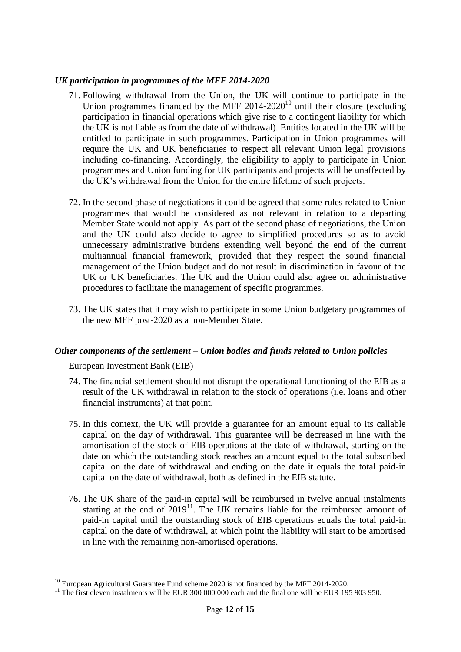## *UK participation in programmes of the MFF 2014-2020*

- 71. Following withdrawal from the Union, the UK will continue to participate in the Union programmes financed by the MFF  $2014-2020^{10}$  until their closure (excluding participation in financial operations which give rise to a contingent liability for which the UK is not liable as from the date of withdrawal). Entities located in the UK will be entitled to participate in such programmes. Participation in Union programmes will require the UK and UK beneficiaries to respect all relevant Union legal provisions including co-financing. Accordingly, the eligibility to apply to participate in Union programmes and Union funding for UK participants and projects will be unaffected by the UK's withdrawal from the Union for the entire lifetime of such projects.
- 72. In the second phase of negotiations it could be agreed that some rules related to Union programmes that would be considered as not relevant in relation to a departing Member State would not apply. As part of the second phase of negotiations, the Union and the UK could also decide to agree to simplified procedures so as to avoid unnecessary administrative burdens extending well beyond the end of the current multiannual financial framework, provided that they respect the sound financial management of the Union budget and do not result in discrimination in favour of the UK or UK beneficiaries. The UK and the Union could also agree on administrative procedures to facilitate the management of specific programmes.
- 73. The UK states that it may wish to participate in some Union budgetary programmes of the new MFF post-2020 as a non-Member State.

#### *Other components of the settlement – Union bodies and funds related to Union policies*

#### European Investment Bank (EIB)

- 74. The financial settlement should not disrupt the operational functioning of the EIB as a result of the UK withdrawal in relation to the stock of operations (i.e. loans and other financial instruments) at that point.
- 75. In this context, the UK will provide a guarantee for an amount equal to its callable capital on the day of withdrawal. This guarantee will be decreased in line with the amortisation of the stock of EIB operations at the date of withdrawal, starting on the date on which the outstanding stock reaches an amount equal to the total subscribed capital on the date of withdrawal and ending on the date it equals the total paid-in capital on the date of withdrawal, both as defined in the EIB statute.
- 76. The UK share of the paid-in capital will be reimbursed in twelve annual instalments starting at the end of  $2019<sup>11</sup>$ . The UK remains liable for the reimbursed amount of paid-in capital until the outstanding stock of EIB operations equals the total paid-in capital on the date of withdrawal, at which point the liability will start to be amortised in line with the remaining non-amortised operations.

**<sup>.</sup>**  $10$  European Agricultural Guarantee Fund scheme 2020 is not financed by the MFF 2014-2020.

 $11$  The first eleven instalments will be EUR 300 000 000 each and the final one will be EUR 195 903 950.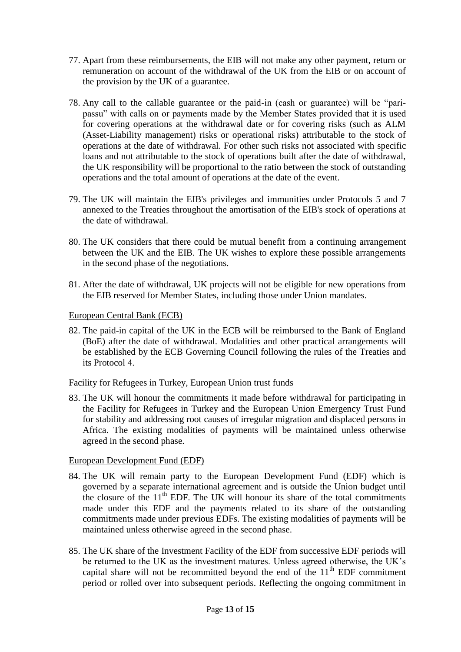- 77. Apart from these reimbursements, the EIB will not make any other payment, return or remuneration on account of the withdrawal of the UK from the EIB or on account of the provision by the UK of a guarantee.
- 78. Any call to the callable guarantee or the paid-in (cash or guarantee) will be "paripassu" with calls on or payments made by the Member States provided that it is used for covering operations at the withdrawal date or for covering risks (such as ALM (Asset-Liability management) risks or operational risks) attributable to the stock of operations at the date of withdrawal. For other such risks not associated with specific loans and not attributable to the stock of operations built after the date of withdrawal, the UK responsibility will be proportional to the ratio between the stock of outstanding operations and the total amount of operations at the date of the event.
- 79. The UK will maintain the EIB's privileges and immunities under Protocols 5 and 7 annexed to the Treaties throughout the amortisation of the EIB's stock of operations at the date of withdrawal.
- 80. The UK considers that there could be mutual benefit from a continuing arrangement between the UK and the EIB. The UK wishes to explore these possible arrangements in the second phase of the negotiations.
- 81. After the date of withdrawal, UK projects will not be eligible for new operations from the EIB reserved for Member States, including those under Union mandates.

## European Central Bank (ECB)

82. The paid-in capital of the UK in the ECB will be reimbursed to the Bank of England (BoE) after the date of withdrawal. Modalities and other practical arrangements will be established by the ECB Governing Council following the rules of the Treaties and its Protocol 4.

## Facility for Refugees in Turkey, European Union trust funds

83. The UK will honour the commitments it made before withdrawal for participating in the Facility for Refugees in Turkey and the European Union Emergency Trust Fund for stability and addressing root causes of irregular migration and displaced persons in Africa. The existing modalities of payments will be maintained unless otherwise agreed in the second phase.

## European Development Fund (EDF)

- 84. The UK will remain party to the European Development Fund (EDF) which is governed by a separate international agreement and is outside the Union budget until the closure of the  $11<sup>th</sup>$  EDF. The UK will honour its share of the total commitments made under this EDF and the payments related to its share of the outstanding commitments made under previous EDFs. The existing modalities of payments will be maintained unless otherwise agreed in the second phase.
- 85. The UK share of the Investment Facility of the EDF from successive EDF periods will be returned to the UK as the investment matures. Unless agreed otherwise, the UK's capital share will not be recommitted beyond the end of the  $11<sup>th</sup>$  EDF commitment period or rolled over into subsequent periods. Reflecting the ongoing commitment in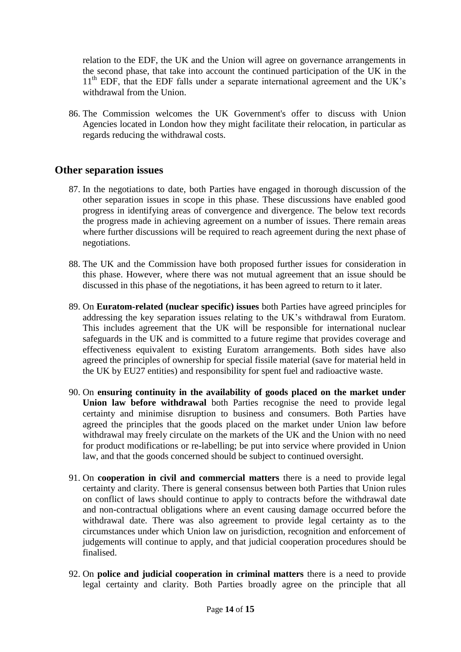relation to the EDF, the UK and the Union will agree on governance arrangements in the second phase, that take into account the continued participation of the UK in the 11<sup>th</sup> EDF, that the EDF falls under a separate international agreement and the UK's withdrawal from the Union.

86. The Commission welcomes the UK Government's offer to discuss with Union Agencies located in London how they might facilitate their relocation, in particular as regards reducing the withdrawal costs.

## **Other separation issues**

- 87. In the negotiations to date, both Parties have engaged in thorough discussion of the other separation issues in scope in this phase. These discussions have enabled good progress in identifying areas of convergence and divergence. The below text records the progress made in achieving agreement on a number of issues. There remain areas where further discussions will be required to reach agreement during the next phase of negotiations.
- 88. The UK and the Commission have both proposed further issues for consideration in this phase. However, where there was not mutual agreement that an issue should be discussed in this phase of the negotiations, it has been agreed to return to it later.
- 89. On **Euratom-related (nuclear specific) issues** both Parties have agreed principles for addressing the key separation issues relating to the UK's withdrawal from Euratom. This includes agreement that the UK will be responsible for international nuclear safeguards in the UK and is committed to a future regime that provides coverage and effectiveness equivalent to existing Euratom arrangements. Both sides have also agreed the principles of ownership for special fissile material (save for material held in the UK by EU27 entities) and responsibility for spent fuel and radioactive waste.
- 90. On **ensuring continuity in the availability of goods placed on the market under Union law before withdrawal** both Parties recognise the need to provide legal certainty and minimise disruption to business and consumers. Both Parties have agreed the principles that the goods placed on the market under Union law before withdrawal may freely circulate on the markets of the UK and the Union with no need for product modifications or re-labelling; be put into service where provided in Union law, and that the goods concerned should be subject to continued oversight.
- 91. On **cooperation in civil and commercial matters** there is a need to provide legal certainty and clarity. There is general consensus between both Parties that Union rules on conflict of laws should continue to apply to contracts before the withdrawal date and non-contractual obligations where an event causing damage occurred before the withdrawal date. There was also agreement to provide legal certainty as to the circumstances under which Union law on jurisdiction, recognition and enforcement of judgements will continue to apply, and that judicial cooperation procedures should be finalised.
- 92. On **police and judicial cooperation in criminal matters** there is a need to provide legal certainty and clarity. Both Parties broadly agree on the principle that all